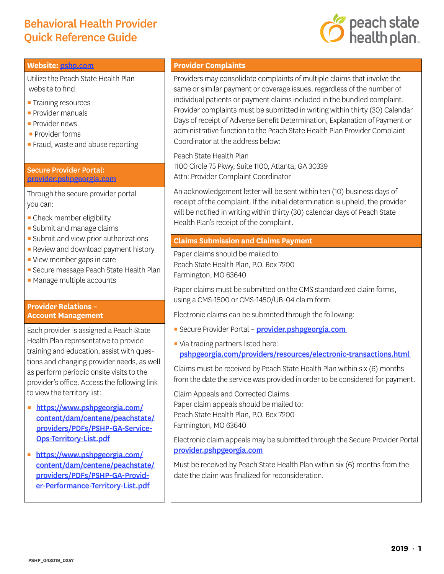# Behavioral Health Provider Quick Reference Guide



#### **Website:** [pshp.com](http://www.pshp.com/)

Utilize the Peach State Health Plan website to find:

- **Training resources**
- **Provider manuals**
- **Provider news**
- **Provider forms**
- **Fraud, waste and abuse reporting**

#### Secure Provider Portal: [provider.pshpgeorgia.com](https://provider.pshpgeorgia.com)

Through the secure provider portal you can:

- **Check member eligibility**
- **Submit and manage claims**
- **Submit and view prior authorizations**
- **Review and download payment history**
- View member gaps in care
- **E** Secure message Peach State Health Plan
- **Manage multiple accounts**

#### **Provider Relations – Account Management**

Each provider is assigned a Peach State Health Plan representative to provide training and education, assist with questions and changing provider needs, as well as perform periodic onsite visits to the provider's office. Access the following link to view the territory list:

- https://www.pshpgeorgia.com/ [content/dam/centene/peachstate/](https://www.pshpgeorgia.com/content/dam/centene/peachstate/providers/PDFs/PSHP-GA-Service-Ops-Territory-List.pdf) providers/PDFs/PSHP-GA-Service-Ops-Territory-List.pdf
- · https://www.pshpgeorgia.com/ [content/dam/centene/peachstate/](https://www.pshpgeorgia.com/content/dam/centene/peachstate/providers/PDFs/PSHP-GA-Provider-Performance-Territory-List.pdf) providers/PDFs/PSHP-GA-Provider-Performance-Territory-List.pdf

### **Provider Complaints**

Providers may consolidate complaints of multiple claims that involve the same or similar payment or coverage issues, regardless of the number of individual patients or payment claims included in the bundled complaint. Provider complaints must be submitted in writing within thirty (30) Calendar Days of receipt of Adverse Benefit Determination, Explanation of Payment or administrative function to the Peach State Health Plan Provider Complaint Coordinator at the address below:

Peach State Health Plan 1100 Circle 75 Pkwy, Suite 1100, Atlanta, GA 30339 Attn: Provider Complaint Coordinator

An acknowledgement letter will be sent within ten (10) business days of receipt of the complaint. If the initial determination is upheld, the provider will be notified in writing within thirty (30) calendar days of Peach State Health Plan's receipt of the complaint.

### **Claims Submission and Claims Payment**

Paper claims should be mailed to: Peach State Health Plan, P.O. Box 7200 Farmington, MO 63640

Paper claims must be submitted on the CMS standardized claim forms, using a CMS-1500 or CMS-1450/UB-04 claim form.

Electronic claims can be submitted through the following:

- **E** Secure Provider Portal **provider.pshpgeorgia.com**
- Via trading partners listed here:

[pshpgeorgia.com/providers/resources/electronic-transactions.html](https://www.pshpgeorgia.com/providers/resources/electronic-transactions.html) 

Claims must be received by Peach State Health Plan within six (6) months from the date the service was provided in order to be considered for payment.

Claim Appeals and Corrected Claims Paper claim appeals should be mailed to: Peach State Health Plan, P.O. Box 7200 Farmington, MO 63640

Electronic claim appeals may be submitted through the Secure Provider Portal [provider.pshpgeorgia.com](https://provider.pshpgeorgia.com/)

Must be received by Peach State Health Plan within six (6) months from the date the claim was finalized for reconsideration.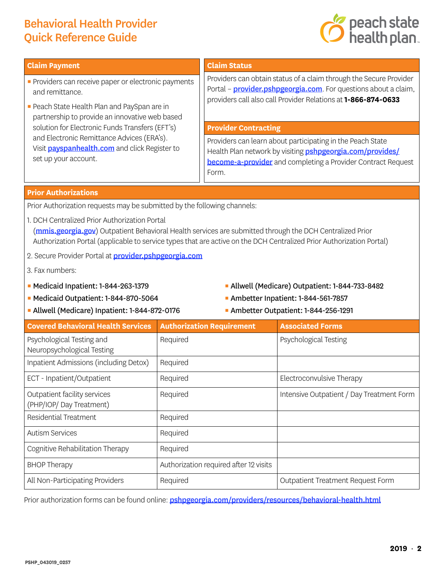# Behavioral Health Provider Quick Reference Guide



#### **Claim Payment**

- **Providers can receive paper or electronic payments** and remittance.
- **Peach State Health Plan and PaySpan are in** partnership to provide an innovative web based solution for Electronic Funds Transfers (EFT's) and Electronic Remittance Advices (ERA's). Visit **[payspanhealth.com](https://www.payspanhealth.com/)** and click Register to set up your account.

### **Claim Status**

Providers can obtain status of a claim through the Secure Provider Portal – **[provider.pshpgeorgia.com](https://provider.pshpgeorgia.com/)**. For questions about a claim, providers call also call Provider Relations at **1-866-874-0633**

#### **Provider Contracting**

Providers can learn about participating in the Peach State Health Plan network by visiting **[pshpgeorgia.com/provides/](https://www.pshpgeorgia.com/providers/become-a-provider.html)** [become-a-provider](https://www.pshpgeorgia.com/providers/become-a-provider.html) and completing a Provider Contract Request Form.

#### **Prior Authorizations**

Prior Authorization requests may be submitted by the following channels:

- 1. DCH Centralized Prior Authorization Portal ([mmis.georgia.gov](https://www.mmis.georgia.gov/)) Outpatient Behavioral Health services are submitted through the DCH Centralized Prior Authorization Portal (applicable to service types that are active on the DCH Centralized Prior Authorization Portal)
- 2. Secure Provider Portal at **[provider.pshpgeorgia.com](https://provider.pshpgeorgia.com/)**
- 3. Fax numbers:
- Medicaid Inpatient: 1-844-263-1379
- Medicaid Outpatient: 1-844-870-5064 Ambetter Inpatient: 1-844-561-7857
- Allwell (Medicare) Inpatient: 1-844-872-0176 Ambetter Outpatient: 1-844-256-1291
- **Allwell (Medicare) Outpatient: 1-844-733-8482**
- 
- 

| <b>Covered Behavioral Health Services</b>               | <b>Authorization Requirement</b>       | <b>Associated Forms</b>                   |
|---------------------------------------------------------|----------------------------------------|-------------------------------------------|
| Psychological Testing and<br>Neuropsychological Testing | Required                               | Psychological Testing                     |
|                                                         |                                        |                                           |
| Inpatient Admissions (including Detox)                  | Required                               |                                           |
| ECT - Inpatient/Outpatient                              | Required                               | Electroconvulsive Therapy                 |
| Outpatient facility services<br>(PHP/IOP/Day Treatment) | Required                               | Intensive Outpatient / Day Treatment Form |
| Residential Treatment                                   | Required                               |                                           |
| <b>Autism Services</b>                                  | Required                               |                                           |
| Cognitive Rehabilitation Therapy                        | Required                               |                                           |
| <b>BHOP Therapy</b>                                     | Authorization required after 12 visits |                                           |
| All Non-Participating Providers                         | Required                               | <b>Outpatient Treatment Request Form</b>  |

Prior authorization forms can be found online: *[pshpgeorgia.com/providers/resources/behavioral-health.html](https://www.pshpgeorgia.com/providers/resources/behavioral-health.html)*